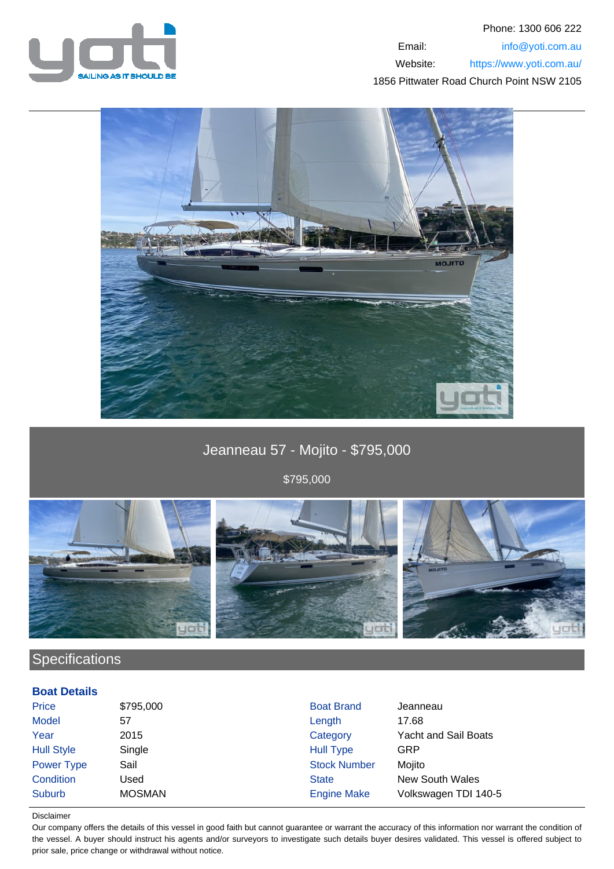



Jeanneau 57 - Mojito - \$795,000

\$795,000



# **Specifications**

### **Boat Details**

| Price             | \$795,000     | <b>Boat Brand</b>   | Jeanneau                    |
|-------------------|---------------|---------------------|-----------------------------|
| <b>Model</b>      | 57            | Length              | 17.68                       |
| Year              | 2015          | Category            | <b>Yacht and Sail Boats</b> |
| <b>Hull Style</b> | Single        | <b>Hull Type</b>    | GRP                         |
| <b>Power Type</b> | Sail          | <b>Stock Number</b> | Mojito                      |
| Condition         | Used          | <b>State</b>        | <b>New South Wales</b>      |
| Suburb            | <b>MOSMAN</b> | <b>Engine Make</b>  | Volkswagen TDI 140-5        |

### Disclaimer

Our company offers the details of this vessel in good faith but cannot guarantee or warrant the accuracy of this information nor warrant the condition of the vessel. A buyer should instruct his agents and/or surveyors to investigate such details buyer desires validated. This vessel is offered subject to prior sale, price change or withdrawal without notice.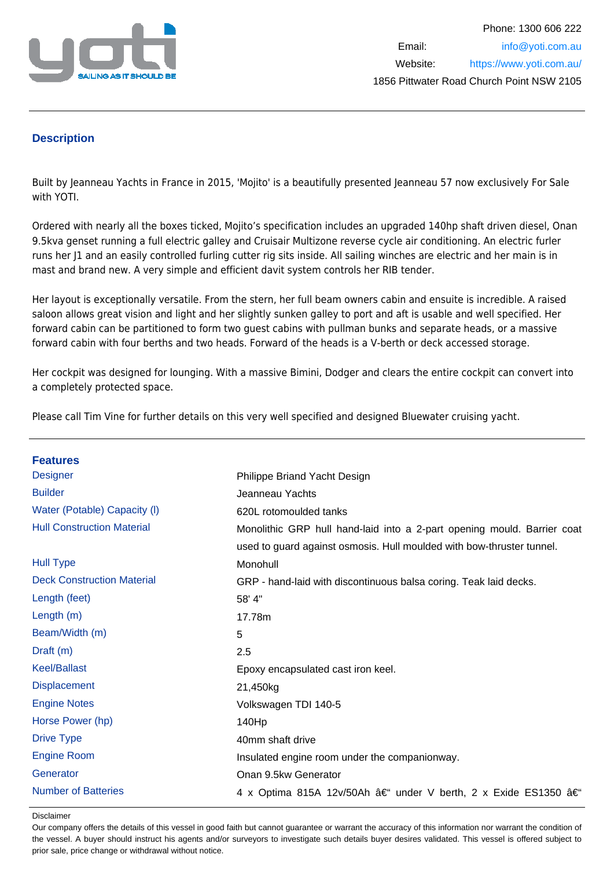

## **Description**

Built by Jeanneau Yachts in France in 2015, 'Mojito' is a beautifully presented Jeanneau 57 now exclusively For Sale with YOTI.

Ordered with nearly all the boxes ticked, Mojito's specification includes an upgraded 140hp shaft driven diesel, Onan 9.5kva genset running a full electric galley and Cruisair Multizone reverse cycle air conditioning. An electric furler runs her J1 and an easily controlled furling cutter rig sits inside. All sailing winches are electric and her main is in mast and brand new. A very simple and efficient davit system controls her RIB tender.

Her layout is exceptionally versatile. From the stern, her full beam owners cabin and ensuite is incredible. A raised saloon allows great vision and light and her slightly sunken galley to port and aft is usable and well specified. Her forward cabin can be partitioned to form two guest cabins with pullman bunks and separate heads, or a massive forward cabin with four berths and two heads. Forward of the heads is a V-berth or deck accessed storage.

Her cockpit was designed for lounging. With a massive Bimini, Dodger and clears the entire cockpit can convert into a completely protected space.

Please call Tim Vine for further details on this very well specified and designed Bluewater cruising yacht.

| <b>Features</b>                   |                                                                         |
|-----------------------------------|-------------------------------------------------------------------------|
| <b>Designer</b>                   |                                                                         |
|                                   | Philippe Briand Yacht Design                                            |
| <b>Builder</b>                    | Jeanneau Yachts                                                         |
| Water (Potable) Capacity (I)      | 620L rotomoulded tanks                                                  |
| <b>Hull Construction Material</b> | Monolithic GRP hull hand-laid into a 2-part opening mould. Barrier coat |
|                                   | used to guard against osmosis. Hull moulded with bow-thruster tunnel.   |
| <b>Hull Type</b>                  | Monohull                                                                |
| <b>Deck Construction Material</b> | GRP - hand-laid with discontinuous balsa coring. Teak laid decks.       |
| Length (feet)                     | 58' 4"                                                                  |
| Length (m)                        | 17.78m                                                                  |
| Beam/Width (m)                    | 5                                                                       |
| Draft $(m)$                       | 2.5                                                                     |
| <b>Keel/Ballast</b>               | Epoxy encapsulated cast iron keel.                                      |
| <b>Displacement</b>               | 21,450kg                                                                |
| <b>Engine Notes</b>               | Volkswagen TDI 140-5                                                    |
| Horse Power (hp)                  | 140Hp                                                                   |
| <b>Drive Type</b>                 | 40mm shaft drive                                                        |
| <b>Engine Room</b>                | Insulated engine room under the companionway.                           |
| Generator                         | Onan 9.5kw Generator                                                    |
| <b>Number of Batteries</b>        | 4 x Optima 815A 12v/50Ah – under V berth, 2 x Exide ES1350 –            |

#### Disclaimer

Our company offers the details of this vessel in good faith but cannot guarantee or warrant the accuracy of this information nor warrant the condition of the vessel. A buyer should instruct his agents and/or surveyors to investigate such details buyer desires validated. This vessel is offered subject to prior sale, price change or withdrawal without notice.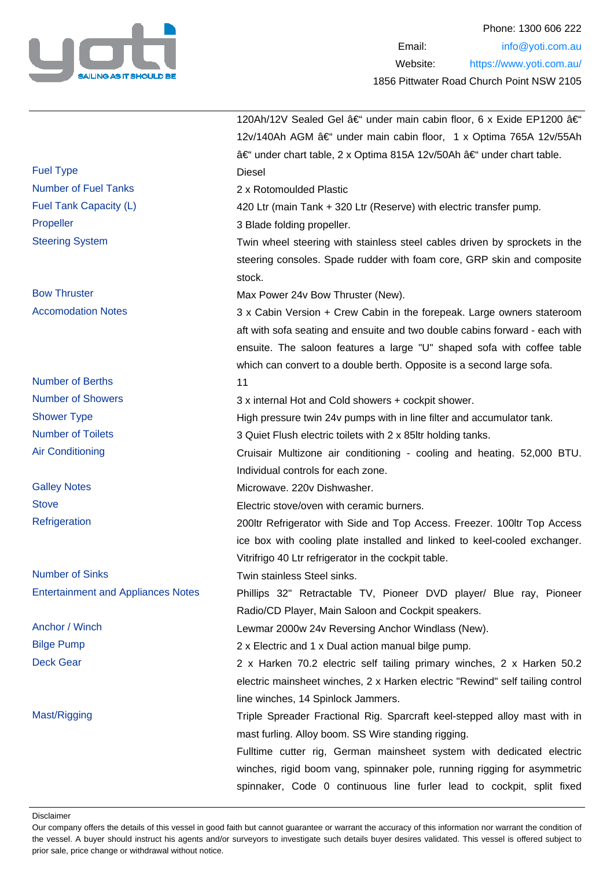

|                                           | 120Ah/12V Sealed Gel – under main cabin floor, 6 x Exide EP1200 â€                                                                                                                                                             |
|-------------------------------------------|--------------------------------------------------------------------------------------------------------------------------------------------------------------------------------------------------------------------------------|
|                                           | 12v/140Ah AGM – under main cabin floor, 1 x Optima 765A 12v/55Ah                                                                                                                                                               |
|                                           | – under chart table, 2 x Optima 815A 12v/50Ah – under chart table.                                                                                                                                                             |
| <b>Fuel Type</b>                          | <b>Diesel</b>                                                                                                                                                                                                                  |
| <b>Number of Fuel Tanks</b>               | 2 x Rotomoulded Plastic                                                                                                                                                                                                        |
| Fuel Tank Capacity (L)                    | 420 Ltr (main Tank + 320 Ltr (Reserve) with electric transfer pump.                                                                                                                                                            |
| Propeller                                 | 3 Blade folding propeller.                                                                                                                                                                                                     |
| <b>Steering System</b>                    | Twin wheel steering with stainless steel cables driven by sprockets in the<br>steering consoles. Spade rudder with foam core, GRP skin and composite<br>stock.                                                                 |
| <b>Bow Thruster</b>                       | Max Power 24v Bow Thruster (New).                                                                                                                                                                                              |
| <b>Accomodation Notes</b>                 | 3 x Cabin Version + Crew Cabin in the forepeak. Large owners stateroom                                                                                                                                                         |
|                                           | aft with sofa seating and ensuite and two double cabins forward - each with<br>ensuite. The saloon features a large "U" shaped sofa with coffee table<br>which can convert to a double berth. Opposite is a second large sofa. |
| <b>Number of Berths</b>                   | 11                                                                                                                                                                                                                             |
| <b>Number of Showers</b>                  | 3 x internal Hot and Cold showers + cockpit shower.                                                                                                                                                                            |
| <b>Shower Type</b>                        | High pressure twin 24v pumps with in line filter and accumulator tank.                                                                                                                                                         |
| <b>Number of Toilets</b>                  | 3 Quiet Flush electric toilets with 2 x 85ltr holding tanks.                                                                                                                                                                   |
| <b>Air Conditioning</b>                   | Cruisair Multizone air conditioning - cooling and heating. 52,000 BTU.                                                                                                                                                         |
|                                           | Individual controls for each zone.                                                                                                                                                                                             |
| <b>Galley Notes</b>                       | Microwave. 220v Dishwasher.                                                                                                                                                                                                    |
| <b>Stove</b>                              | Electric stove/oven with ceramic burners.                                                                                                                                                                                      |
| Refrigeration                             | 200ltr Refrigerator with Side and Top Access. Freezer. 100ltr Top Access<br>ice box with cooling plate installed and linked to keel-cooled exchanger.<br>Vitrifrigo 40 Ltr refrigerator in the cockpit table.                  |
| <b>Number of Sinks</b>                    | Twin stainless Steel sinks.                                                                                                                                                                                                    |
| <b>Entertainment and Appliances Notes</b> | Phillips 32" Retractable TV, Pioneer DVD player/ Blue ray, Pioneer<br>Radio/CD Player, Main Saloon and Cockpit speakers.                                                                                                       |
| Anchor / Winch                            | Lewmar 2000w 24v Reversing Anchor Windlass (New).                                                                                                                                                                              |
| <b>Bilge Pump</b>                         | 2 x Electric and 1 x Dual action manual bilge pump.                                                                                                                                                                            |
| <b>Deck Gear</b>                          | 2 x Harken 70.2 electric self tailing primary winches, 2 x Harken 50.2<br>electric mainsheet winches, 2 x Harken electric "Rewind" self tailing control<br>line winches, 14 Spinlock Jammers.                                  |
| Mast/Rigging                              | Triple Spreader Fractional Rig. Sparcraft keel-stepped alloy mast with in<br>mast furling. Alloy boom. SS Wire standing rigging.                                                                                               |
|                                           | Fulltime cutter rig, German mainsheet system with dedicated electric<br>winches, rigid boom vang, spinnaker pole, running rigging for asymmetric<br>spinnaker, Code 0 continuous line furler lead to cockpit, split fixed      |

Disclaimer

Our company offers the details of this vessel in good faith but cannot guarantee or warrant the accuracy of this information nor warrant the condition of the vessel. A buyer should instruct his agents and/or surveyors to investigate such details buyer desires validated. This vessel is offered subject to prior sale, price change or withdrawal without notice.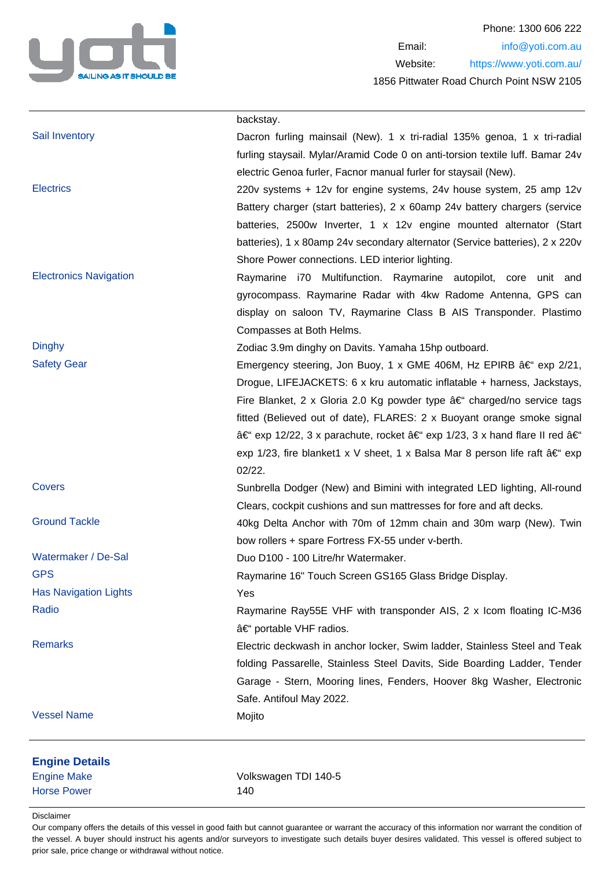

|                               | backstay.                                                                     |
|-------------------------------|-------------------------------------------------------------------------------|
| Sail Inventory                | Dacron furling mainsail (New). 1 x tri-radial 135% genoa, 1 x tri-radial      |
|                               | furling staysail. Mylar/Aramid Code 0 on anti-torsion textile luff. Bamar 24v |
|                               | electric Genoa furler, Facnor manual furler for staysail (New).               |
| <b>Electrics</b>              | 220v systems + 12v for engine systems, 24v house system, 25 amp 12v           |
|                               | Battery charger (start batteries), 2 x 60amp 24v battery chargers (service    |
|                               | batteries, 2500w Inverter, 1 x 12v engine mounted alternator (Start           |
|                               | batteries), 1 x 80amp 24v secondary alternator (Service batteries), 2 x 220v  |
|                               | Shore Power connections. LED interior lighting.                               |
| <b>Electronics Navigation</b> | Raymarine i70 Multifunction. Raymarine autopilot, core unit and               |
|                               | gyrocompass. Raymarine Radar with 4kw Radome Antenna, GPS can                 |
|                               | display on saloon TV, Raymarine Class B AIS Transponder. Plastimo             |
|                               | Compasses at Both Helms.                                                      |
| <b>Dinghy</b>                 | Zodiac 3.9m dinghy on Davits. Yamaha 15hp outboard.                           |
| <b>Safety Gear</b>            | Emergency steering, Jon Buoy, 1 x GME 406M, Hz EPIRB – exp 2/21,              |
|                               | Drogue, LIFEJACKETS: 6 x kru automatic inflatable + harness, Jackstays,       |
|                               | Fire Blanket, 2 x Gloria 2.0 Kg powder type â€" charged/no service tags       |
|                               | fitted (Believed out of date), FLARES: 2 x Buoyant orange smoke signal        |
|                               | †exp 12/22, 3 x parachute, rocket †exp 1/23, 3 x hand flare II red â€         |
|                               | exp 1/23, fire blanket1 x V sheet, 1 x Balsa Mar 8 person life raft †exp      |
|                               | 02/22.                                                                        |
| Covers                        | Sunbrella Dodger (New) and Bimini with integrated LED lighting, All-round     |
|                               | Clears, cockpit cushions and sun mattresses for fore and aft decks.           |
| <b>Ground Tackle</b>          | 40kg Delta Anchor with 70m of 12mm chain and 30m warp (New). Twin             |
|                               | bow rollers + spare Fortress FX-55 under v-berth.                             |
| Watermaker / De-Sal           | Duo D100 - 100 Litre/hr Watermaker.                                           |
| <b>GPS</b>                    | Raymarine 16" Touch Screen GS165 Glass Bridge Display.                        |
| <b>Has Navigation Lights</b>  | Yes                                                                           |
| Radio                         | Raymarine Ray55E VHF with transponder AIS, 2 x Icom floating IC-M36           |
|                               | – portable VHF radios.                                                        |
| <b>Remarks</b>                | Electric deckwash in anchor locker, Swim ladder, Stainless Steel and Teak     |
|                               | folding Passarelle, Stainless Steel Davits, Side Boarding Ladder, Tender      |
|                               | Garage - Stern, Mooring lines, Fenders, Hoover 8kg Washer, Electronic         |
|                               | Safe. Antifoul May 2022.                                                      |
| <b>Vessel Name</b>            | Mojito                                                                        |
| <b>Engine Details</b>         |                                                                               |
| <b>Engine Make</b>            | Volkswagen TDI 140-5                                                          |
| <b>Horse Power</b>            | 140                                                                           |
|                               |                                                                               |

### Disclaimer

Our company offers the details of this vessel in good faith but cannot guarantee or warrant the accuracy of this information nor warrant the condition of the vessel. A buyer should instruct his agents and/or surveyors to investigate such details buyer desires validated. This vessel is offered subject to prior sale, price change or withdrawal without notice.